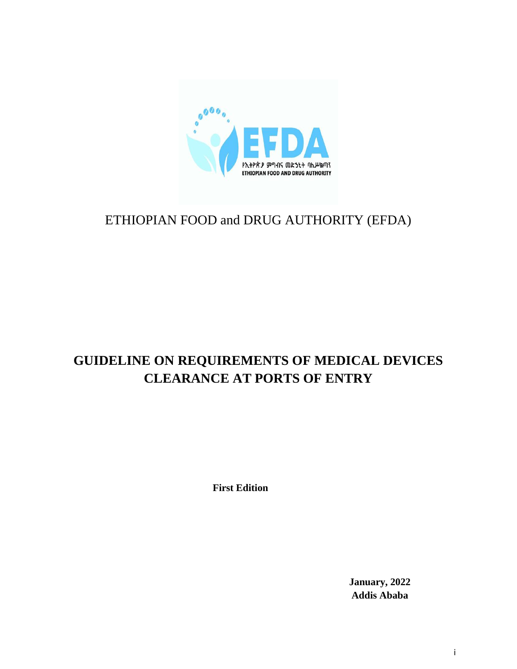

## ETHIOPIAN FOOD and DRUG AUTHORITY (EFDA)

## **GUIDELINE ON REQUIREMENTS OF MEDICAL DEVICES CLEARANCE AT PORTS OF ENTRY**

**First Edition**

**January, 2022 Addis Ababa**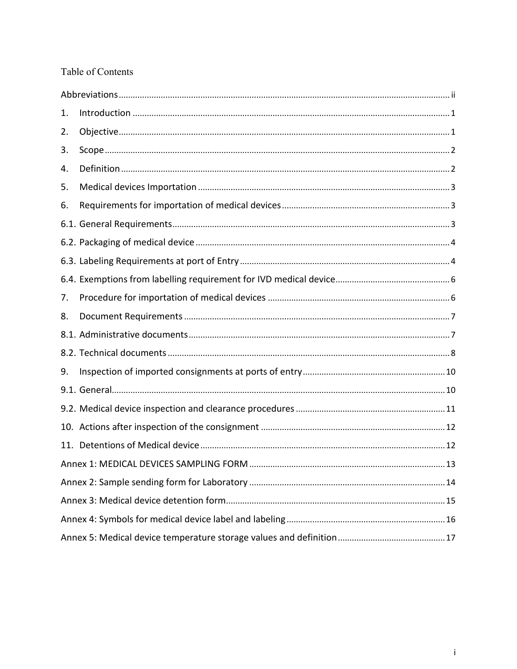#### Table of Contents

<span id="page-1-0"></span>

| 1. |  |
|----|--|
| 2. |  |
| 3. |  |
| 4. |  |
| 5. |  |
| 6. |  |
|    |  |
|    |  |
|    |  |
|    |  |
| 7. |  |
| 8. |  |
|    |  |
|    |  |
| 9. |  |
|    |  |
|    |  |
|    |  |
|    |  |
|    |  |
|    |  |
|    |  |
|    |  |
|    |  |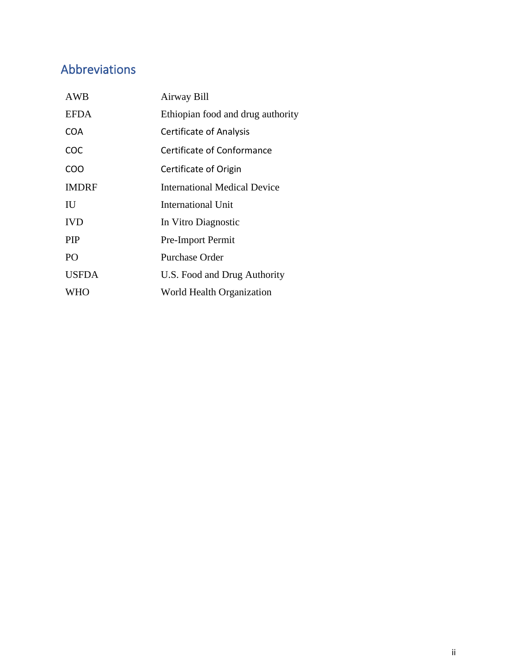## Abbreviations

| <b>AWB</b>   | Airway Bill                         |
|--------------|-------------------------------------|
| <b>EFDA</b>  | Ethiopian food and drug authority   |
| <b>COA</b>   | Certificate of Analysis             |
| COC          | Certificate of Conformance          |
| COO          | Certificate of Origin               |
| <b>IMDRF</b> | <b>International Medical Device</b> |
| IU           | <b>International Unit</b>           |
| <b>IVD</b>   | In Vitro Diagnostic                 |
| <b>PIP</b>   | Pre-Import Permit                   |
| PO           | <b>Purchase Order</b>               |
| <b>USFDA</b> | U.S. Food and Drug Authority        |
| WHO          | World Health Organization           |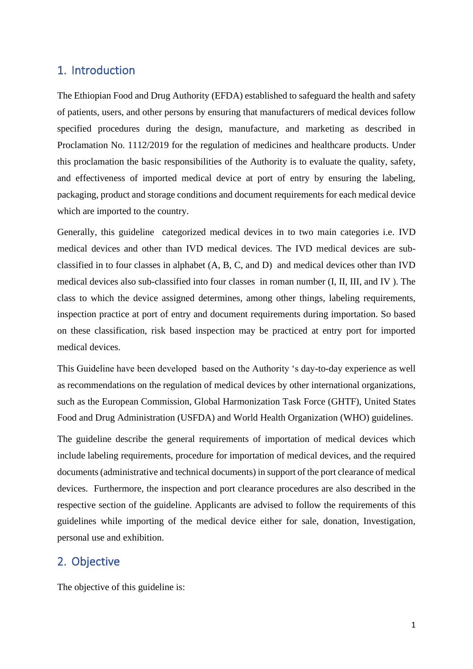### <span id="page-3-0"></span>1. Introduction

The Ethiopian Food and Drug Authority (EFDA) established to safeguard the health and safety of patients, users, and other persons by ensuring that manufacturers of medical devices follow specified procedures during the design, manufacture, and marketing as described in Proclamation No. 1112/2019 for the regulation of medicines and healthcare products. Under this proclamation the basic responsibilities of the Authority is to evaluate the quality, safety, and effectiveness of imported medical device at port of entry by ensuring the labeling, packaging, product and storage conditions and document requirements for each medical device which are imported to the country.

Generally, this guideline categorized medical devices in to two main categories i.e. IVD medical devices and other than IVD medical devices. The IVD medical devices are subclassified in to four classes in alphabet (A, B, C, and D) and medical devices other than IVD medical devices also sub-classified into four classes in roman number (I, II, III, and IV ). The class to which the device assigned determines, among other things, labeling requirements, inspection practice at port of entry and document requirements during importation. So based on these classification, risk based inspection may be practiced at entry port for imported medical devices.

This Guideline have been developed based on the Authority 's day-to-day experience as well as recommendations on the regulation of medical devices by other international organizations, such as the European Commission, Global Harmonization Task Force (GHTF), United States Food and Drug Administration (USFDA) and World Health Organization (WHO) guidelines.

The guideline describe the general requirements of importation of medical devices which include labeling requirements, procedure for importation of medical devices, and the required documents (administrative and technical documents) in support of the port clearance of medical devices. Furthermore, the inspection and port clearance procedures are also described in the respective section of the guideline. Applicants are advised to follow the requirements of this guidelines while importing of the medical device either for sale, donation, Investigation, personal use and exhibition.

#### <span id="page-3-1"></span>2. Objective

The objective of this guideline is: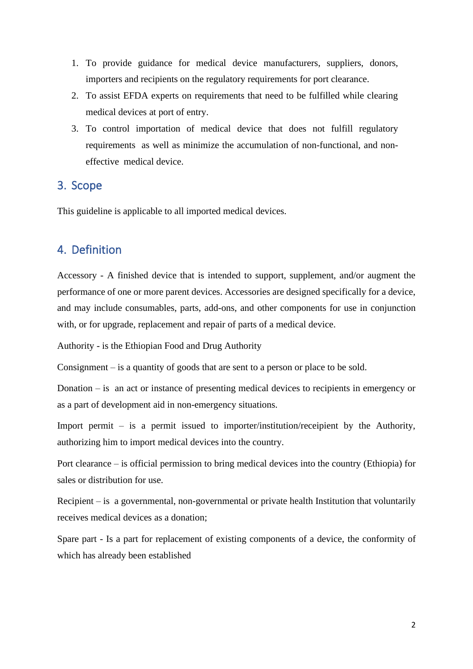- 1. To provide guidance for medical device manufacturers, suppliers, donors, importers and recipients on the regulatory requirements for port clearance.
- 2. To assist EFDA experts on requirements that need to be fulfilled while clearing medical devices at port of entry.
- <span id="page-4-0"></span>3. To control importation of medical device that does not fulfill regulatory requirements as well as minimize the accumulation of non-functional, and noneffective medical device.

#### 3. Scope

<span id="page-4-1"></span>This guideline is applicable to all imported medical devices.

## 4. Definition

Accessory - A finished device that is intended to support, supplement, and/or augment the performance of one or more parent devices. Accessories are designed specifically for a device, and may include consumables, parts, add-ons, and other components for use in conjunction with, or for upgrade, replacement and repair of parts of a medical device.

Authority - is the Ethiopian Food and Drug Authority

Consignment – is a quantity of goods that are sent to a person or place to be sold.

Donation – is an act or instance of presenting medical devices to recipients in emergency or as a part of development aid in non-emergency situations.

Import permit – is a permit issued to importer/institution/receipient by the Authority, authorizing him to import medical devices into the country.

Port clearance – is official permission to bring medical devices into the country (Ethiopia) for sales or distribution for use.

Recipient – is a governmental, non-governmental or private health Institution that voluntarily receives medical devices as a donation;

Spare part - Is a part for replacement of existing components of a device, the conformity of which has already been established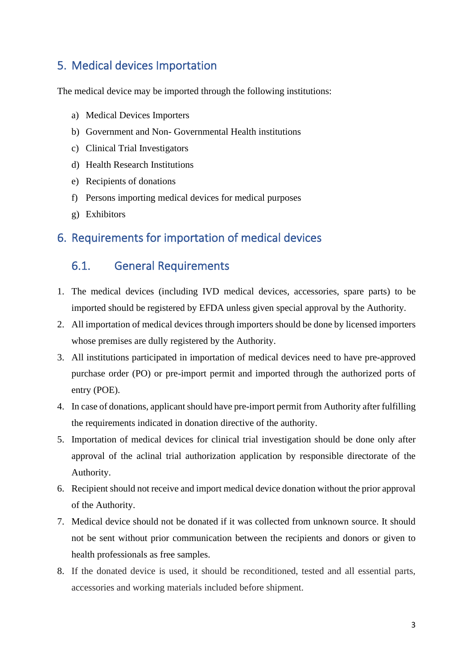## <span id="page-5-0"></span>5. Medical devices Importation

The medical device may be imported through the following institutions:

- a) Medical Devices Importers
- b) Government and Non- Governmental Health institutions
- c) Clinical Trial Investigators
- d) Health Research Institutions
- e) Recipients of donations
- <span id="page-5-1"></span>f) Persons importing medical devices for medical purposes
- g) Exhibitors

### <span id="page-5-2"></span>6. Requirements for importation of medical devices

#### 6.1. General Requirements

- 1. The medical devices (including IVD medical devices, accessories, spare parts) to be imported should be registered by EFDA unless given special approval by the Authority.
- 2. All importation of medical devices through importers should be done by licensed importers whose premises are dully registered by the Authority.
- 3. All institutions participated in importation of medical devices need to have pre-approved purchase order (PO) or pre-import permit and imported through the authorized ports of entry (POE).
- 4. In case of donations, applicant should have pre-import permit from Authority after fulfilling the requirements indicated in donation directive of the authority.
- 5. Importation of medical devices for clinical trial investigation should be done only after approval of the aclinal trial authorization application by responsible directorate of the Authority.
- 6. Recipient should not receive and import medical device donation without the prior approval of the Authority.
- 7. Medical device should not be donated if it was collected from unknown source. It should not be sent without prior communication between the recipients and donors or given to health professionals as free samples.
- 8. If the donated device is used, it should be reconditioned, tested and all essential parts, accessories and working materials included before shipment.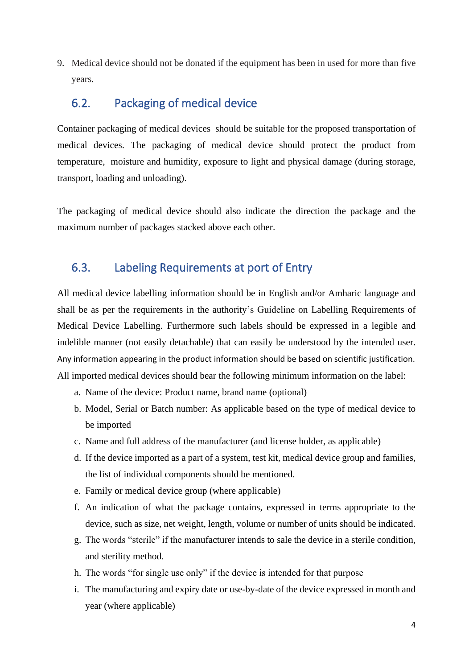<span id="page-6-0"></span>9. Medical device should not be donated if the equipment has been in used for more than five years.

### 6.2. Packaging of medical device

Container packaging of medical devices should be suitable for the proposed transportation of medical devices. The packaging of medical device should protect the product from temperature, moisture and humidity, exposure to light and physical damage (during storage, transport, loading and unloading).

<span id="page-6-1"></span>The packaging of medical device should also indicate the direction the package and the maximum number of packages stacked above each other.

#### 6.3. Labeling Requirements at port of Entry

All medical device labelling information should be in English and/or Amharic language and shall be as per the requirements in the authority's Guideline on Labelling Requirements of Medical Device Labelling. Furthermore such labels should be expressed in a legible and indelible manner (not easily detachable) that can easily be understood by the intended user. Any information appearing in the product information should be based on scientific justification. All imported medical devices should bear the following minimum information on the label:

- a. Name of the device: Product name, brand name (optional)
- b. Model, Serial or Batch number: As applicable based on the type of medical device to be imported
- c. Name and full address of the manufacturer (and license holder, as applicable)
- d. If the device imported as a part of a system, test kit, medical device group and families, the list of individual components should be mentioned.
- e. Family or medical device group (where applicable)
- f. An indication of what the package contains, expressed in terms appropriate to the device, such as size, net weight, length, volume or number of units should be indicated.
- g. The words "sterile" if the manufacturer intends to sale the device in a sterile condition, and sterility method.
- h. The words "for single use only" if the device is intended for that purpose
- i. The manufacturing and expiry date or use-by-date of the device expressed in month and year (where applicable)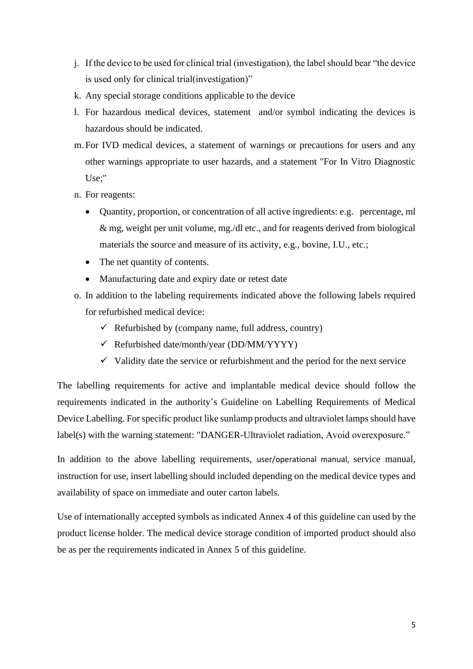- j. If the device to be used for clinical trial (investigation), the label should bear "the device is used only for clinical trial(investigation)"
- k. Any special storage conditions applicable to the device
- l. For hazardous medical devices, statement and/or symbol indicating the devices is hazardous should be indicated.
- m. For IVD medical devices, a statement of warnings or precautions for users and any other warnings appropriate to user hazards, and a statement "For In Vitro Diagnostic Use;"
- n. For reagents:
	- Quantity, proportion, or concentration of all active ingredients: e.g. percentage, ml & mg, weight per unit volume, mg./dl etc., and for reagents derived from biological materials the source and measure of its activity, e.g., bovine, I.U., etc.;
	- The net quantity of contents.
	- Manufacturing date and expiry date or retest date
- o. In addition to the labeling requirements indicated above the following labels required for refurbished medical device:
	- $\checkmark$  Refurbished by (company name, full address, country)
	- $\checkmark$  Refurbished date/month/year (DD/MM/YYYY)
	- $\checkmark$  Validity date the service or refurbishment and the period for the next service

The labelling requirements for active and implantable medical device should follow the requirements indicated in the authority's Guideline on Labelling Requirements of Medical Device Labelling. For specific product like sunlamp products and ultraviolet lamps should have label(s) with the warning statement: "DANGER-Ultraviolet radiation, Avoid overexposure."

In addition to the above labelling requirements, user/operational manual, service manual, instruction for use, insert labelling should included depending on the medical device types and availability of space on immediate and outer carton labels.

Use of internationally accepted symbols as indicated Annex 4 of this guideline can used by the product license holder. The medical device storage condition of imported product should also be as per the requirements indicated in Annex 5 of this guideline.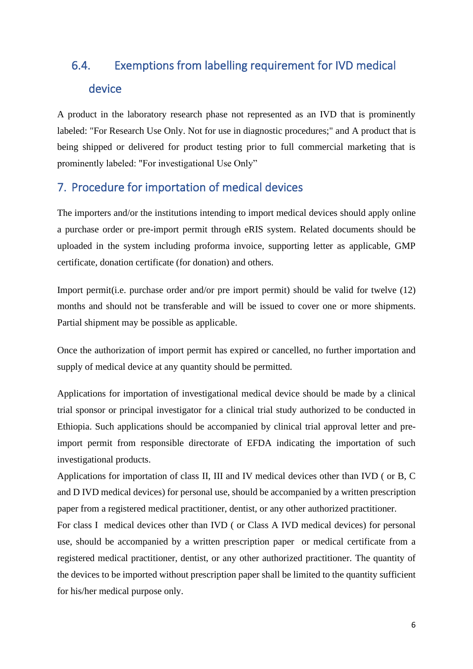# <span id="page-8-0"></span>6.4. Exemptions from labelling requirement for IVD medical device

<span id="page-8-1"></span>A product in the laboratory research phase not represented as an IVD that is prominently labeled: "For Research Use Only. Not for use in diagnostic procedures;" and A product that is being shipped or delivered for product testing prior to full commercial marketing that is prominently labeled: "For investigational Use Only"

## 7. Procedure for importation of medical devices

The importers and/or the institutions intending to import medical devices should apply online a purchase order or pre-import permit through eRIS system. Related documents should be uploaded in the system including proforma invoice, supporting letter as applicable, GMP certificate, donation certificate (for donation) and others.

Import permit(i.e. purchase order and/or pre import permit) should be valid for twelve (12) months and should not be transferable and will be issued to cover one or more shipments. Partial shipment may be possible as applicable.

Once the authorization of import permit has expired or cancelled, no further importation and supply of medical device at any quantity should be permitted.

Applications for importation of investigational medical device should be made by a clinical trial sponsor or principal investigator for a clinical trial study authorized to be conducted in Ethiopia. Such applications should be accompanied by clinical trial approval letter and preimport permit from responsible directorate of EFDA indicating the importation of such investigational products.

Applications for importation of class II, III and IV medical devices other than IVD ( or B, C and D IVD medical devices) for personal use, should be accompanied by a written prescription paper from a registered medical practitioner, dentist, or any other authorized practitioner.

For class I medical devices other than IVD ( or Class A IVD medical devices) for personal use, should be accompanied by a written prescription paper or medical certificate from a registered medical practitioner, dentist, or any other authorized practitioner. The quantity of the devices to be imported without prescription paper shall be limited to the quantity sufficient for his/her medical purpose only.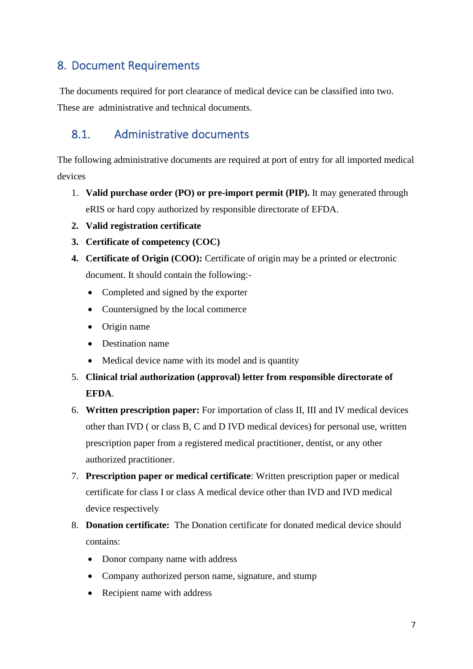## <span id="page-9-0"></span>8. Document Requirements

<span id="page-9-1"></span>The documents required for port clearance of medical device can be classified into two. These are administrative and technical documents.

## 8.1. Administrative documents

The following administrative documents are required at port of entry for all imported medical devices

- 1. **Valid purchase order (PO) or pre-import permit (PIP).** It may generated through eRIS or hard copy authorized by responsible directorate of EFDA.
- **2. Valid registration certificate**
- **3. Certificate of competency (COC)**
- **4. Certificate of Origin (COO):** Certificate of origin may be a printed or electronic document. It should contain the following:-
	- Completed and signed by the exporter
	- Countersigned by the local commerce
	- Origin name
	- Destination name
	- Medical device name with its model and is quantity
- 5. **Clinical trial authorization (approval) letter from responsible directorate of EFDA**.
- 6. **Written prescription paper:** For importation of class II, III and IV medical devices other than IVD ( or class B, C and D IVD medical devices) for personal use, written prescription paper from a registered medical practitioner, dentist, or any other authorized practitioner.
- 7. **Prescription paper or medical certificate**: Written prescription paper or medical certificate for class I or class A medical device other than IVD and IVD medical device respectively
- 8. **Donation certificate:** The Donation certificate for donated medical device should contains:
	- Donor company name with address
	- Company authorized person name, signature, and stump
	- Recipient name with address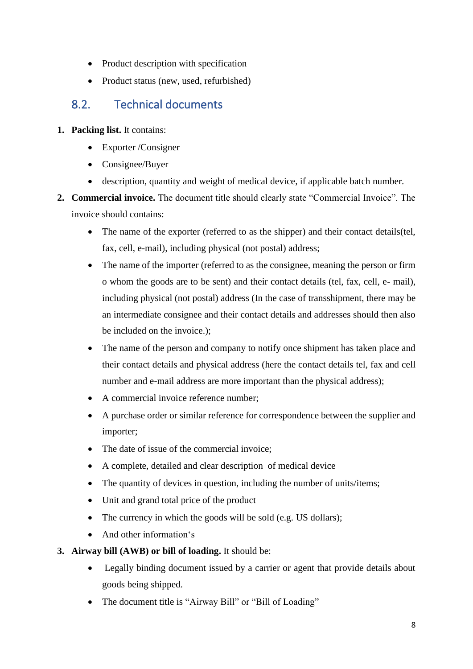- <span id="page-10-0"></span>• Product description with specification
- Product status (new, used, refurbished)

## 8.2. Technical documents

- **1. Packing list.** It contains:
	- Exporter /Consigner
	- Consignee/Buyer
	- description, quantity and weight of medical device, if applicable batch number.
- **2. Commercial invoice.** The document title should clearly state "Commercial Invoice". The invoice should contains:
	- The name of the exporter (referred to as the shipper) and their contact details(tel, fax, cell, e-mail), including physical (not postal) address;
	- The name of the importer (referred to as the consignee, meaning the person or firm o whom the goods are to be sent) and their contact details (tel, fax, cell, e- mail), including physical (not postal) address (In the case of transshipment, there may be an intermediate consignee and their contact details and addresses should then also be included on the invoice.);
	- The name of the person and company to notify once shipment has taken place and their contact details and physical address (here the contact details tel, fax and cell number and e-mail address are more important than the physical address);
	- A commercial invoice reference number:
	- A purchase order or similar reference for correspondence between the supplier and importer;
	- The date of issue of the commercial invoice:
	- A complete, detailed and clear description of medical device
	- The quantity of devices in question, including the number of units/items;
	- Unit and grand total price of the product
	- The currency in which the goods will be sold (e.g. US dollars);
	- And other information's

#### **3. Airway bill (AWB) or bill of loading.** It should be:

- Legally binding document issued by a carrier or agent that provide details about goods being shipped.
- The document title is "Airway Bill" or "Bill of Loading"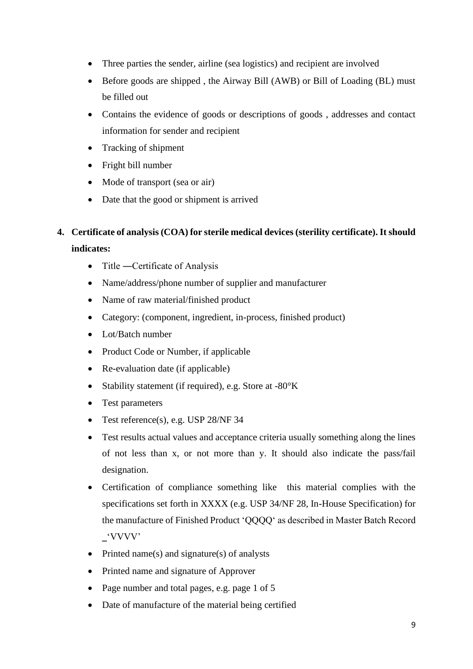- Three parties the sender, airline (sea logistics) and recipient are involved
- Before goods are shipped, the Airway Bill (AWB) or Bill of Loading (BL) must be filled out
- Contains the evidence of goods or descriptions of goods , addresses and contact information for sender and recipient
- Tracking of shipment
- Fright bill number
- Mode of transport (sea or air)
- Date that the good or shipment is arrived

### **4. Certificate of analysis (COA) for sterile medical devices (sterility certificate). It should indicates:**

- Title Certificate of Analysis
- Name/address/phone number of supplier and manufacturer
- Name of raw material/finished product
- Category: (component, ingredient, in-process, finished product)
- Lot/Batch number
- Product Code or Number, if applicable
- Re-evaluation date (if applicable)
- Stability statement (if required), e.g. Store at -80°K
- Test parameters
- Test reference(s), e.g. USP 28/NF 34
- Test results actual values and acceptance criteria usually something along the lines of not less than x, or not more than y. It should also indicate the pass/fail designation.
- Certification of compliance something like this material complies with the specifications set forth in XXXX (e.g. USP 34/NF 28, In-House Specification) for the manufacture of Finished Product 'QQQQ' as described in Master Batch Record ‗'VVVV'
- Printed name(s) and signature(s) of analysts
- Printed name and signature of Approver
- Page number and total pages, e.g. page 1 of 5
- Date of manufacture of the material being certified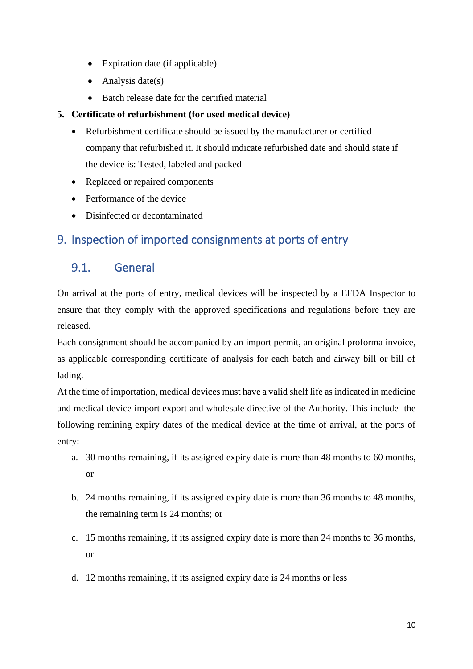- Expiration date (if applicable)
- Analysis date(s)
- Batch release date for the certified material

#### **5. Certificate of refurbishment (for used medical device)**

- Refurbishment certificate should be issued by the manufacturer or certified company that refurbished it. It should indicate refurbished date and should state if the device is: Tested, labeled and packed
- Replaced or repaired components
- <span id="page-12-0"></span>• Performance of the device
- Disinfected or decontaminated

## <span id="page-12-1"></span>9. Inspection of imported consignments at ports of entry

## 9.1. General

On arrival at the ports of entry, medical devices will be inspected by a EFDA Inspector to ensure that they comply with the approved specifications and regulations before they are released.

Each consignment should be accompanied by an import permit, an original proforma invoice, as applicable corresponding certificate of analysis for each batch and airway bill or bill of lading.

At the time of importation, medical devices must have a valid shelf life as indicated in medicine and medical device import export and wholesale directive of the Authority. This include the following remining expiry dates of the medical device at the time of arrival, at the ports of entry:

- a. 30 months remaining, if its assigned expiry date is more than 48 months to 60 months, or
- b. 24 months remaining, if its assigned expiry date is more than 36 months to 48 months, the remaining term is 24 months; or
- c. 15 months remaining, if its assigned expiry date is more than 24 months to 36 months, or
- d. 12 months remaining, if its assigned expiry date is 24 months or less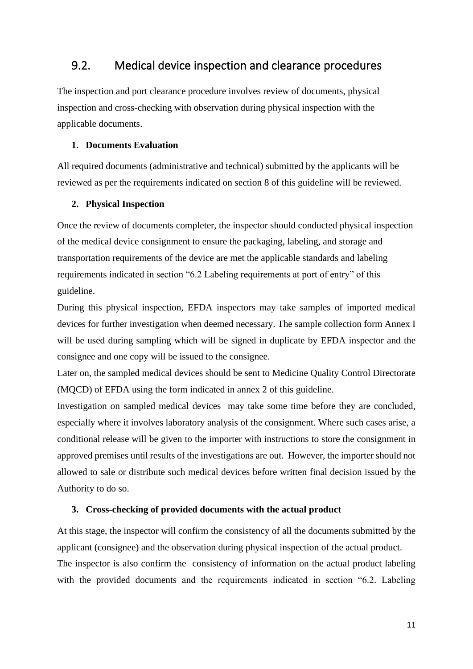#### <span id="page-13-0"></span>9.2. Medical device inspection and clearance procedures

The inspection and port clearance procedure involves review of documents, physical inspection and cross-checking with observation during physical inspection with the applicable documents.

#### **1. Documents Evaluation**

All required documents (administrative and technical) submitted by the applicants will be reviewed as per the requirements indicated on section 8 of this guideline will be reviewed.

#### **2. Physical Inspection**

Once the review of documents completer, the inspector should conducted physical inspection of the medical device consignment to ensure the packaging, labeling, and storage and transportation requirements of the device are met the applicable standards and labeling requirements indicated in section "6.2 Labeling requirements at port of entry" of this guideline.

During this physical inspection, EFDA inspectors may take samples of imported medical devices for further investigation when deemed necessary. The sample collection form Annex I will be used during sampling which will be signed in duplicate by EFDA inspector and the consignee and one copy will be issued to the consignee.

Later on, the sampled medical devices should be sent to Medicine Quality Control Directorate (MQCD) of EFDA using the form indicated in annex 2 of this guideline.

Investigation on sampled medical devices may take some time before they are concluded, especially where it involves laboratory analysis of the consignment. Where such cases arise, a conditional release will be given to the importer with instructions to store the consignment in approved premises until results of the investigations are out. However, the importer should not allowed to sale or distribute such medical devices before written final decision issued by the Authority to do so.

#### **3. Cross-checking of provided documents with the actual product**

At this stage, the inspector will confirm the consistency of all the documents submitted by the applicant (consignee) and the observation during physical inspection of the actual product.

The inspector is also confirm the consistency of information on the actual product labeling with the provided documents and the requirements indicated in section "6.2. Labeling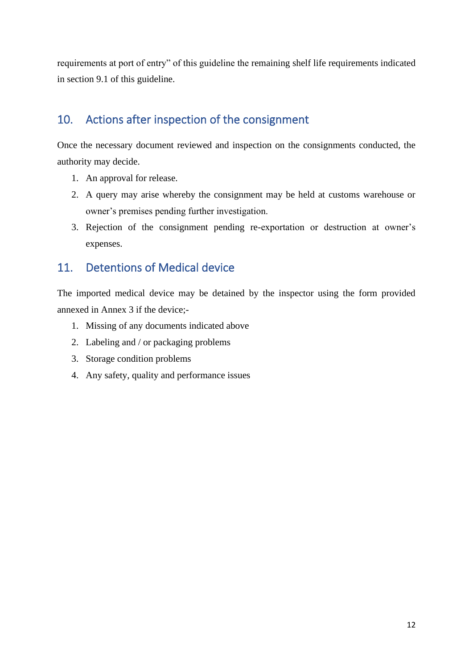<span id="page-14-0"></span>requirements at port of entry" of this guideline the remaining shelf life requirements indicated in section 9.1 of this guideline.

## 10. Actions after inspection of the consignment

Once the necessary document reviewed and inspection on the consignments conducted, the authority may decide.

- 1. An approval for release.
- 2. A query may arise whereby the consignment may be held at customs warehouse or owner's premises pending further investigation.
- <span id="page-14-1"></span>3. Rejection of the consignment pending re-exportation or destruction at owner's expenses.

## 11. Detentions of Medical device

The imported medical device may be detained by the inspector using the form provided annexed in Annex 3 if the device;-

- 1. Missing of any documents indicated above
- 2. Labeling and / or packaging problems
- 3. Storage condition problems
- 4. Any safety, quality and performance issues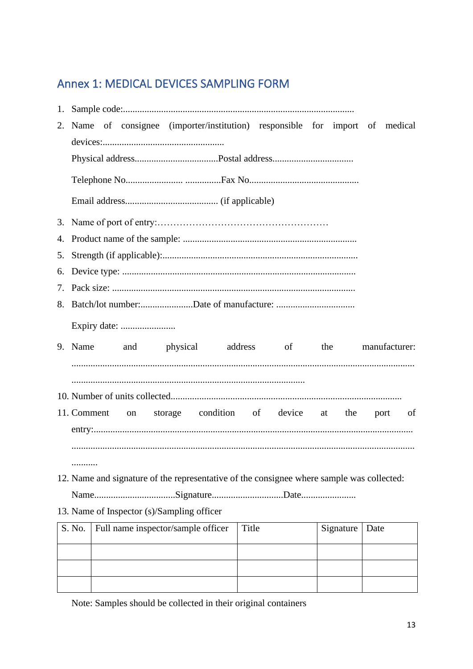## <span id="page-15-0"></span>Annex 1: MEDICAL DEVICES SAMPLING FORM

|    | 2. Name of consignee (importer/institution) responsible for import of medical             |       |           |               |
|----|-------------------------------------------------------------------------------------------|-------|-----------|---------------|
|    |                                                                                           |       |           |               |
|    |                                                                                           |       |           |               |
|    |                                                                                           |       |           |               |
|    |                                                                                           |       |           |               |
|    |                                                                                           |       |           |               |
|    |                                                                                           |       |           |               |
| 5. |                                                                                           |       |           |               |
| 6. |                                                                                           |       |           |               |
|    |                                                                                           |       |           |               |
|    |                                                                                           |       |           |               |
|    |                                                                                           |       |           |               |
|    | 9. Name and physical address of                                                           |       | the       | manufacturer: |
|    |                                                                                           |       |           |               |
|    |                                                                                           |       |           |               |
|    |                                                                                           |       |           |               |
|    | storage condition of device at the<br>11. Comment<br>on                                   |       |           | port<br>of    |
|    |                                                                                           |       |           |               |
|    |                                                                                           |       |           |               |
|    |                                                                                           |       |           |               |
|    | 12. Name and signature of the representative of the consignee where sample was collected: |       |           |               |
|    |                                                                                           |       |           |               |
|    | 13. Name of Inspector (s)/Sampling officer                                                |       |           |               |
|    | Full name inspector/sample officer<br>S. No.                                              | Title | Signature | Date          |
|    |                                                                                           |       |           |               |
|    |                                                                                           |       |           |               |
|    |                                                                                           |       |           |               |

Note: Samples should be collected in their original containers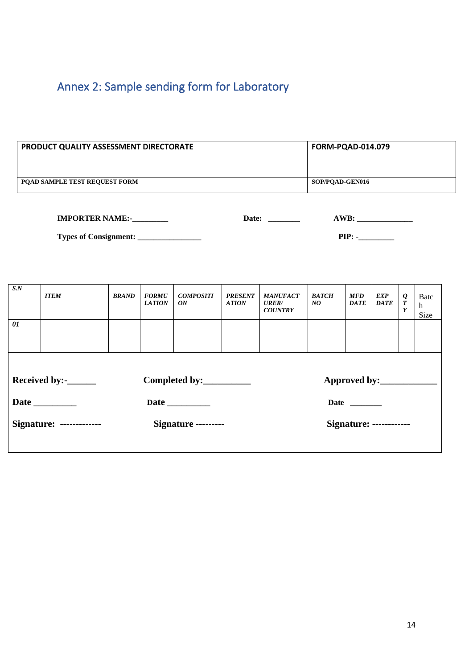# <span id="page-16-0"></span>Annex 2: Sample sending form for Laboratory

| <b>PRODUCT QUALITY ASSESSMENT DIRECTORATE</b> | <b>FORM-PQAD-014.079</b> |
|-----------------------------------------------|--------------------------|
| <b>POAD SAMPLE TEST REQUEST FORM</b>          | SOP/POAD-GEN016          |

| <b>IMPORTER NAME:-</b>       | Date: | `WB. |
|------------------------------|-------|------|
| <b>Types of Consignment:</b> |       | PIP. |

| S.N                                                                          | <b>ITEM</b> | <b>BRAND</b> | <b>FORMU</b><br><b>LATION</b> | <b>COMPOSITI</b><br>ON | <b>PRESENT</b><br><b>ATION</b> | <b>MANUFACT</b><br><b>URER/</b><br><b>COUNTRY</b> | <b>BATCH</b><br>NQ | <b>MFD</b><br><b>DATE</b>      | <i>EXP</i><br><b>DATE</b> | $\frac{\varrho}{T}$<br>Y | Batc<br>h<br>Size |
|------------------------------------------------------------------------------|-------------|--------------|-------------------------------|------------------------|--------------------------------|---------------------------------------------------|--------------------|--------------------------------|---------------------------|--------------------------|-------------------|
| 01                                                                           |             |              |                               |                        |                                |                                                   |                    |                                |                           |                          |                   |
| Received by:- $\_\_\_\_\_\_\_\_\_\_\_\_\_\$<br>Completed by:<br>Approved by: |             |              |                               |                        |                                |                                                   |                    |                                |                           |                          |                   |
|                                                                              |             |              | <b>Date</b>                   |                        |                                |                                                   |                    |                                |                           |                          |                   |
| <b>Signature: -------------</b>                                              |             |              | Signature ---------           |                        |                                |                                                   |                    | <b>Signature: ------------</b> |                           |                          |                   |
|                                                                              |             |              |                               |                        |                                |                                                   |                    |                                |                           |                          |                   |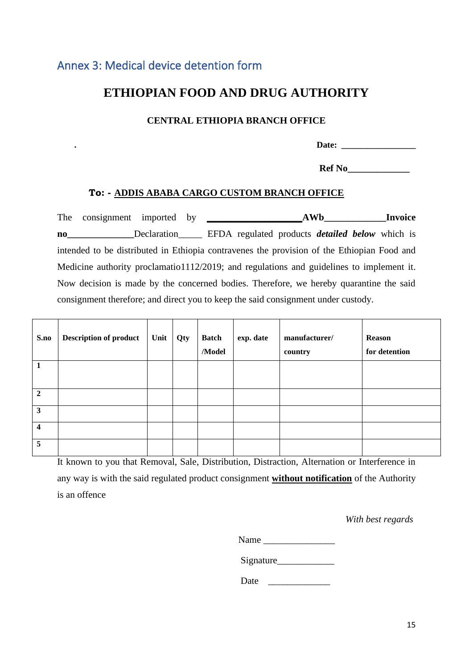#### <span id="page-17-0"></span>Annex 3: Medical device detention form

### **ETHIOPIAN FOOD AND DRUG AUTHORITY**

#### **CENTRAL ETHIOPIA BRANCH OFFICE**

| .<br>лге.<br>.<br>$- - - - -$ |
|-------------------------------|
|-------------------------------|

 **Ref No\_\_\_\_\_\_\_\_\_\_\_\_\_** 

#### **To: - ADDIS ABABA CARGO CUSTOM BRANCH OFFICE**

The consignment imported by **\_\_\_\_\_\_\_\_\_\_\_\_\_\_\_\_\_\_\_\_AWb\_\_\_\_\_\_\_\_\_\_\_\_\_Invoice no\_\_\_\_\_\_\_\_\_\_\_\_\_\_**Declaration\_\_\_\_\_ EFDA regulated products *detailed below* which is intended to be distributed in Ethiopia contravenes the provision of the Ethiopian Food and Medicine authority proclamatio1112/2019; and regulations and guidelines to implement it. Now decision is made by the concerned bodies. Therefore, we hereby quarantine the said consignment therefore; and direct you to keep the said consignment under custody.

| S.no                    | <b>Description of product</b> | Unit | Qty | <b>Batch</b><br>/Model | exp. date | manufacturer/<br>country | Reason<br>for detention |
|-------------------------|-------------------------------|------|-----|------------------------|-----------|--------------------------|-------------------------|
| 1                       |                               |      |     |                        |           |                          |                         |
| $\overline{2}$          |                               |      |     |                        |           |                          |                         |
| $\mathbf{3}$            |                               |      |     |                        |           |                          |                         |
| $\overline{\mathbf{4}}$ |                               |      |     |                        |           |                          |                         |
| 5                       |                               |      |     |                        |           |                          |                         |

It known to you that Removal, Sale, Distribution, Distraction, Alternation or Interference in any way is with the said regulated product consignment **without notification** of the Authority is an offence

*With best regards* 

| Name |  |
|------|--|
|      |  |

Signature

Date  $\Box$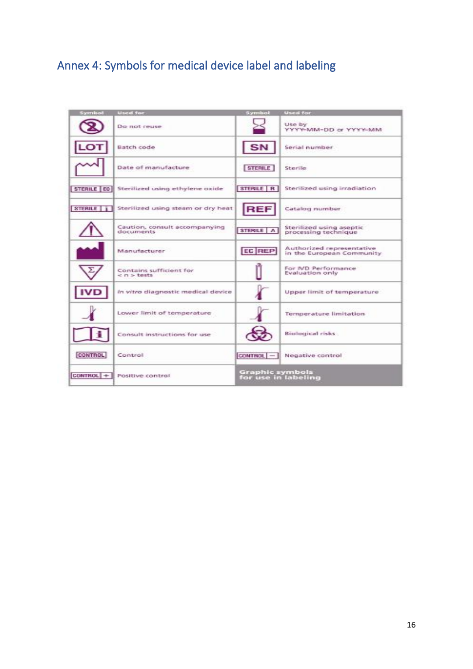# <span id="page-18-0"></span>Annex 4: Symbols for medical device label and labeling

| Symbol         | Used for                                     | Symbol                                 | <b>Used for</b>                                        |
|----------------|----------------------------------------------|----------------------------------------|--------------------------------------------------------|
|                | Do not reuse                                 |                                        | Use by<br>WMY-MM-DD or YYYY-MM                         |
|                | Batch code                                   | SN                                     | Serial number                                          |
|                | Date of manufacture                          | <b>STERILE</b>                         | <b>Sterile</b>                                         |
| STERILE EO     | Sterilized using ethylene oxide              | STERILE   R                            | Sterilized using irradiation                           |
| <b>STERILE</b> | Sterilized using steam or dry heat           | <b>REF</b>                             | Catalog number                                         |
|                | Caution, consult accompanying<br>documents   | STERILE   A                            | Sterifized using aseptic<br>processing technique       |
|                | Manufacturer                                 | EC REP                                 | Authorized representative<br>in the European Community |
|                | Contains sufficient for<br>$<$ $n$ $>$ tests |                                        | For IVD Performance<br>Evaluation only                 |
|                | In vitro diagnostic medical device           |                                        | Upper limit of temperature                             |
|                | Lower limit of temperature                   |                                        | Temperature limitation                                 |
|                | Consult instructions for use                 |                                        | Biological risks                                       |
| <b>CONTROL</b> | Control                                      | $COMTROL$ -                            | Negative control                                       |
| CONTROL +      | Positive control                             | Graphic symbols<br>for use in labeling |                                                        |